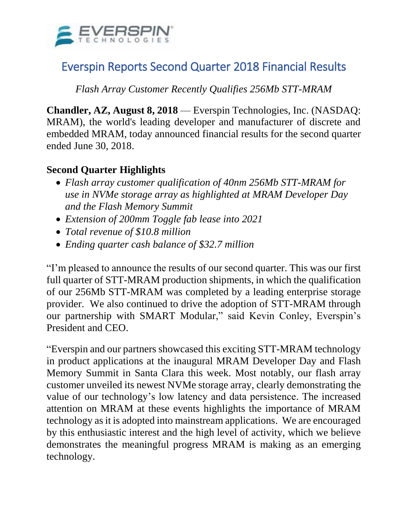

# Everspin Reports Second Quarter 2018 Financial Results

*Flash Array Customer Recently Qualifies 256Mb STT-MRAM*

**Chandler, AZ, August 8, 2018** — Everspin Technologies, Inc. (NASDAQ: MRAM), the world's leading developer and manufacturer of discrete and embedded MRAM, today announced financial results for the second quarter ended June 30, 2018.

## **Second Quarter Highlights**

- *Flash array customer qualification of 40nm 256Mb STT-MRAM for use in NVMe storage array as highlighted at MRAM Developer Day and the Flash Memory Summit*
- *Extension of 200mm Toggle fab lease into 2021*
- *Total revenue of \$10.8 million*
- *Ending quarter cash balance of \$32.7 million*

"I'm pleased to announce the results of our second quarter. This was our first full quarter of STT-MRAM production shipments, in which the qualification of our 256Mb STT-MRAM was completed by a leading enterprise storage provider. We also continued to drive the adoption of STT-MRAM through our partnership with SMART Modular," said Kevin Conley, Everspin's President and CEO.

"Everspin and our partners showcased this exciting STT-MRAM technology in product applications at the inaugural MRAM Developer Day and Flash Memory Summit in Santa Clara this week. Most notably, our flash array customer unveiled its newest NVMe storage array, clearly demonstrating the value of our technology's low latency and data persistence. The increased attention on MRAM at these events highlights the importance of MRAM technology as it is adopted into mainstream applications. We are encouraged by this enthusiastic interest and the high level of activity, which we believe demonstrates the meaningful progress MRAM is making as an emerging technology.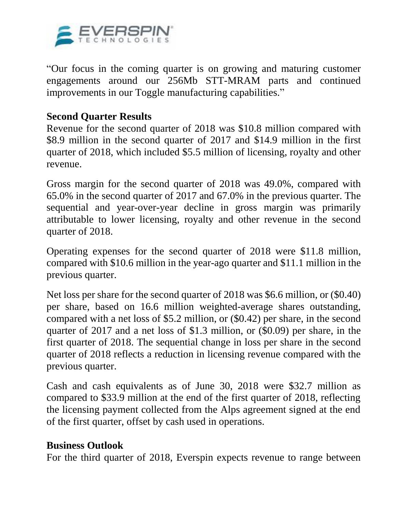

"Our focus in the coming quarter is on growing and maturing customer engagements around our 256Mb STT-MRAM parts and continued improvements in our Toggle manufacturing capabilities."

### **Second Quarter Results**

Revenue for the second quarter of 2018 was \$10.8 million compared with \$8.9 million in the second quarter of 2017 and \$14.9 million in the first quarter of 2018, which included \$5.5 million of licensing, royalty and other revenue.

Gross margin for the second quarter of 2018 was 49.0%, compared with 65.0% in the second quarter of 2017 and 67.0% in the previous quarter. The sequential and year-over-year decline in gross margin was primarily attributable to lower licensing, royalty and other revenue in the second quarter of 2018.

Operating expenses for the second quarter of 2018 were \$11.8 million, compared with \$10.6 million in the year-ago quarter and \$11.1 million in the previous quarter.

Net loss per share for the second quarter of 2018 was \$6.6 million, or (\$0.40) per share, based on 16.6 million weighted-average shares outstanding, compared with a net loss of \$5.2 million, or (\$0.42) per share, in the second quarter of 2017 and a net loss of \$1.3 million, or (\$0.09) per share, in the first quarter of 2018. The sequential change in loss per share in the second quarter of 2018 reflects a reduction in licensing revenue compared with the previous quarter.

Cash and cash equivalents as of June 30, 2018 were \$32.7 million as compared to \$33.9 million at the end of the first quarter of 2018, reflecting the licensing payment collected from the Alps agreement signed at the end of the first quarter, offset by cash used in operations.

#### **Business Outlook**

For the third quarter of 2018, Everspin expects revenue to range between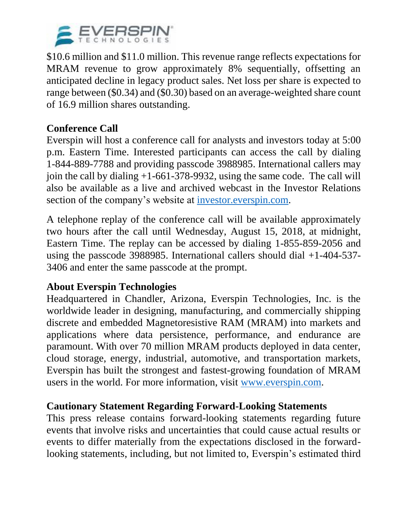

\$10.6 million and \$11.0 million. This revenue range reflects expectations for MRAM revenue to grow approximately 8% sequentially, offsetting an anticipated decline in legacy product sales. Net loss per share is expected to range between (\$0.34) and (\$0.30) based on an average-weighted share count of 16.9 million shares outstanding.

# **Conference Call**

Everspin will host a conference call for analysts and investors today at 5:00 p.m. Eastern Time. Interested participants can access the call by dialing 1-844-889-7788 and providing passcode 3988985. International callers may join the call by dialing +1-661-378-9932, using the same code. The call will also be available as a live and archived webcast in the Investor Relations section of the company's website at [investor.everspin.com.](https://www.globenewswire.com/Tracker?data=Yslc05KKXn_FmUYl36klSjgjxc3kXl8-_nFy37vxurQuaaFvgVt3yjkYUn5sW--3khZoRB_N8Jf1p7bqwXbXbxLqujuhKgAwhO_cglugVb9pWqn4BIeoTVFb0aP4qrpMvBpYc4-GhtfBmGjMlCjE85OPNQ3Q6I9v8a6BYlOTp4J5VpydCDV6JD0Ryvsy3_Ne687-cDMg1DFHWY6MFvcK2Quy0M-gho88pdecRHG9casEZs8IjU0XDwj-pynU9fyZ6L6BBcJqLI65defz5tM3Kx20hBH7n2MnQEm5gBp37wvTaESs_bGS5RuoXa4VrwZROyl68Hw51O_o-tlwTtwNW24WrYNZCrIaqNKuwUQ7yDBHpXE0_13B4vInpe_WY_Wv96gwk5BoNpgKzEkpS6HMbMpe6H60d1a726nWLQJRtNNy448WT1lmakPD1-0avdFfEeuA346UgTmP7cjErDse6iFljbuK_hPF7W49J2X461V7iLx9D2XyZgvfsdy2V-Hf)

A telephone replay of the conference call will be available approximately two hours after the call until Wednesday, August 15, 2018, at midnight, Eastern Time. The replay can be accessed by dialing 1-855-859-2056 and using the passcode 3988985. International callers should dial +1-404-537- 3406 and enter the same passcode at the prompt.

# **About Everspin Technologies**

Headquartered in Chandler, Arizona, Everspin Technologies, Inc. is the worldwide leader in designing, manufacturing, and commercially shipping discrete and embedded Magnetoresistive RAM (MRAM) into markets and applications where data persistence, performance, and endurance are paramount. With over 70 million MRAM products deployed in data center, cloud storage, energy, industrial, automotive, and transportation markets, Everspin has built the strongest and fastest-growing foundation of MRAM users in the world. For more information, visit [www.everspin.com.](https://www.globenewswire.com/Tracker?data=3cq9OXBXEUFeXcdKqv9XwLM1mOWI9ebBq4LDI_kg9EOfdSREdsqN_qReoXD-VydFjS6qjVIOI2oYRWJlsBEn7w==)

### **Cautionary Statement Regarding Forward-Looking Statements**

This press release contains forward-looking statements regarding future events that involve risks and uncertainties that could cause actual results or events to differ materially from the expectations disclosed in the forwardlooking statements, including, but not limited to, Everspin's estimated third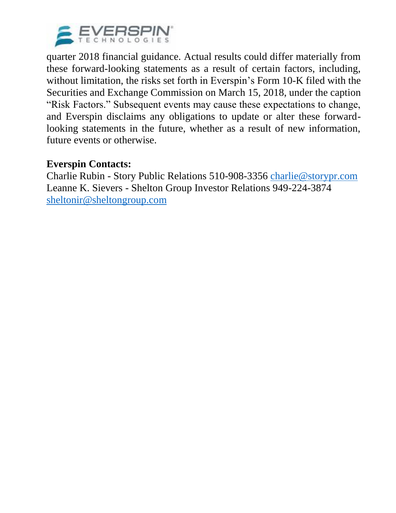

quarter 2018 financial guidance. Actual results could differ materially from these forward-looking statements as a result of certain factors, including, without limitation, the risks set forth in Everspin's Form 10-K filed with the Securities and Exchange Commission on March 15, 2018, under the caption "Risk Factors." Subsequent events may cause these expectations to change, and Everspin disclaims any obligations to update or alter these forwardlooking statements in the future, whether as a result of new information, future events or otherwise.

### **Everspin Contacts:**

Charlie Rubin - Story Public Relations 510-908-3356 [charlie@storypr.com](mailto:charlie@storypr.com) Leanne K. Sievers - Shelton Group Investor Relations 949-224-3874 [sheltonir@sheltongroup.com](mailto:sheltonir@sheltongroup.com)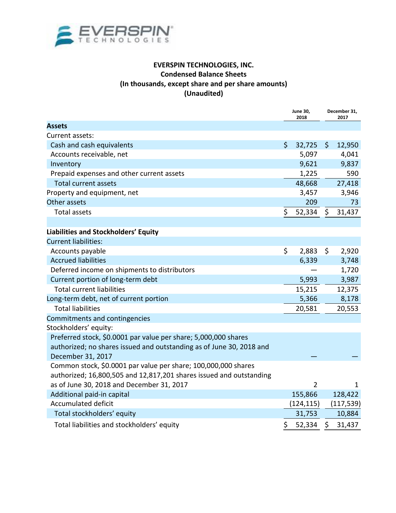

#### **EVERSPIN TECHNOLOGIES, INC. Condensed Balance Sheets (In thousands, except share and per share amounts) (Unaudited)**

|                                                                      | <b>June 30,</b><br>2018 |                | December 31,<br>2017 |              |
|----------------------------------------------------------------------|-------------------------|----------------|----------------------|--------------|
| <b>Assets</b>                                                        |                         |                |                      |              |
| Current assets:                                                      |                         |                |                      |              |
| Cash and cash equivalents                                            | $\mathsf{S}$            | 32,725         | $\mathsf{S}$         | 12,950       |
| Accounts receivable, net                                             |                         | 5,097          |                      | 4,041        |
| Inventory                                                            |                         | 9,621          |                      | 9,837        |
| Prepaid expenses and other current assets                            |                         | 1,225          |                      | 590          |
| <b>Total current assets</b>                                          |                         | 48,668         |                      | 27,418       |
| Property and equipment, net                                          |                         | 3,457          |                      | 3,946        |
| Other assets                                                         |                         | 209            |                      | 73           |
| <b>Total assets</b>                                                  | \$                      | 52,334         | \$                   | 31,437       |
|                                                                      |                         |                |                      |              |
| Liabilities and Stockholders' Equity                                 |                         |                |                      |              |
| <b>Current liabilities:</b>                                          |                         |                |                      |              |
| Accounts payable                                                     | \$                      | 2,883          | \$                   | 2,920        |
| <b>Accrued liabilities</b>                                           |                         | 6,339          |                      | 3,748        |
| Deferred income on shipments to distributors                         |                         |                |                      | 1,720        |
| Current portion of long-term debt                                    |                         | 5,993          |                      | 3,987        |
| <b>Total current liabilities</b>                                     |                         | 15,215         |                      | 12,375       |
| Long-term debt, net of current portion                               |                         | 5,366          |                      | 8,178        |
| <b>Total liabilities</b>                                             |                         | 20,581         |                      | 20,553       |
| Commitments and contingencies                                        |                         |                |                      |              |
| Stockholders' equity:                                                |                         |                |                      |              |
| Preferred stock, \$0.0001 par value per share; 5,000,000 shares      |                         |                |                      |              |
| authorized; no shares issued and outstanding as of June 30, 2018 and |                         |                |                      |              |
| December 31, 2017                                                    |                         |                |                      |              |
| Common stock, \$0.0001 par value per share; 100,000,000 shares       |                         |                |                      |              |
| authorized; 16,800,505 and 12,817,201 shares issued and outstanding  |                         |                |                      |              |
| as of June 30, 2018 and December 31, 2017                            |                         | $\overline{2}$ |                      | $\mathbf{1}$ |
| Additional paid-in capital                                           |                         | 155,866        |                      | 128,422      |
| <b>Accumulated deficit</b>                                           |                         | (124, 115)     |                      | (117, 539)   |
| Total stockholders' equity                                           |                         | 31,753         |                      | 10,884       |
| Total liabilities and stockholders' equity                           | \$                      | 52,334         | Ŝ.                   | 31,437       |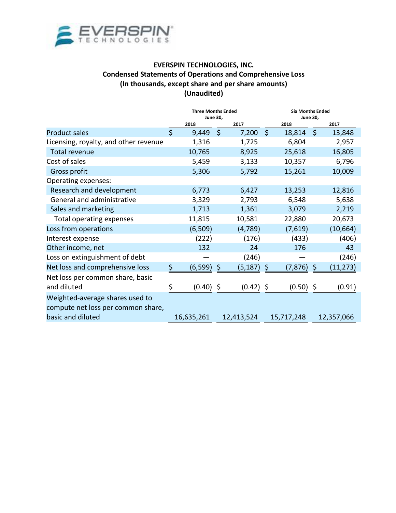

#### **EVERSPIN TECHNOLOGIES, INC. Condensed Statements of Operations and Comprehensive Loss (In thousands, except share and per share amounts) (Unaudited)**

|                                                                                            | <b>Three Months Ended</b><br><b>June 30,</b> |            |         |            | <b>Six Months Ended</b><br><b>June 30,</b> |             |         |            |  |
|--------------------------------------------------------------------------------------------|----------------------------------------------|------------|---------|------------|--------------------------------------------|-------------|---------|------------|--|
|                                                                                            |                                              | 2018       |         | 2017       |                                            | 2018        |         | 2017       |  |
| <b>Product sales</b>                                                                       | $\zeta$                                      | 9,449      | $\zeta$ | 7,200      | $\zeta$                                    | 18,814      | $\zeta$ | 13,848     |  |
| Licensing, royalty, and other revenue                                                      |                                              | 1,316      |         | 1,725      |                                            | 6,804       |         | 2,957      |  |
| Total revenue                                                                              |                                              | 10,765     |         | 8,925      |                                            | 25,618      |         | 16,805     |  |
| Cost of sales                                                                              |                                              | 5,459      |         | 3,133      |                                            | 10,357      |         | 6,796      |  |
| Gross profit                                                                               |                                              | 5,306      |         | 5,792      |                                            | 15,261      |         | 10,009     |  |
| Operating expenses:                                                                        |                                              |            |         |            |                                            |             |         |            |  |
| Research and development                                                                   |                                              | 6,773      |         | 6,427      |                                            | 13,253      |         | 12,816     |  |
| General and administrative                                                                 |                                              | 3,329      |         | 2,793      |                                            | 6,548       |         | 5,638      |  |
| Sales and marketing                                                                        |                                              | 1,713      |         | 1,361      |                                            | 3,079       |         | 2,219      |  |
| Total operating expenses                                                                   |                                              | 11,815     |         | 10,581     |                                            | 22,880      |         | 20,673     |  |
| Loss from operations                                                                       |                                              | (6, 509)   |         | (4,789)    |                                            | (7,619)     |         | (10, 664)  |  |
| Interest expense                                                                           |                                              | (222)      |         | (176)      |                                            | (433)       |         | (406)      |  |
| Other income, net                                                                          |                                              | 132        |         | 24         |                                            | 176         |         | 43         |  |
| Loss on extinguishment of debt                                                             |                                              |            |         | (246)      |                                            |             |         | (246)      |  |
| Net loss and comprehensive loss                                                            | \$                                           | (6, 599)   | \$      | (5, 187)   | \$                                         | (7, 876)    | \$      | (11, 273)  |  |
| Net loss per common share, basic<br>and diluted                                            | \$                                           | (0.40)     | \$      | (0.42)     | \$                                         | $(0.50)$ \$ |         | (0.91)     |  |
| Weighted-average shares used to<br>compute net loss per common share,<br>basic and diluted |                                              | 16,635,261 |         | 12,413,524 |                                            | 15,717,248  |         | 12,357,066 |  |
|                                                                                            |                                              |            |         |            |                                            |             |         |            |  |